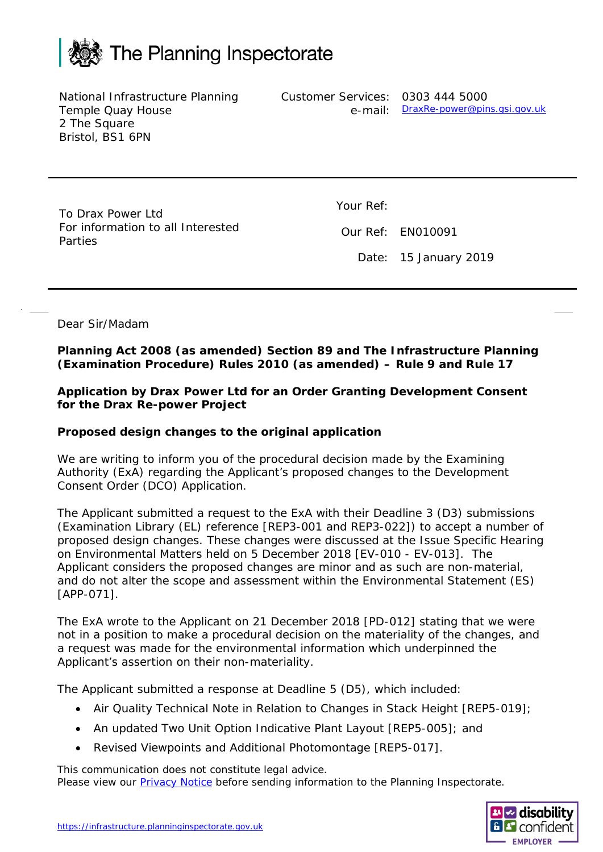

National Infrastructure Planning Temple Quay House 2 The Square Bristol, BS1 6PN

Customer Services: 0303 444 5000 e-mail: [DraxRe-power@pins.gsi.gov.uk](mailto:DraxRe-power@pins.gsi.gov.uk)

To Drax Power Ltd For information to all Interested Parties

Your Ref:

Our Ref: EN010091

Date: 15 January 2019

Dear Sir/Madam

**Planning Act 2008 (as amended) Section 89 and The Infrastructure Planning (Examination Procedure) Rules 2010 (as amended) – Rule 9 and Rule 17**

**Application by Drax Power Ltd for an Order Granting Development Consent for the Drax Re-power Project**

## **Proposed design changes to the original application**

We are writing to inform you of the procedural decision made by the Examining Authority (ExA) regarding the Applicant's proposed changes to the Development Consent Order (DCO) Application.

The Applicant submitted a request to the ExA with their Deadline 3 (D3) submissions (Examination Library (EL) reference [REP3-001 and REP3-022]) to accept a number of proposed design changes. These changes were discussed at the Issue Specific Hearing on Environmental Matters held on 5 December 2018 [EV-010 - EV-013]. The Applicant considers the proposed changes are minor and as such are non-material, and do not alter the scope and assessment within the Environmental Statement (ES) [APP-071].

The ExA wrote to the Applicant on 21 December 2018 [PD-012] stating that we were not in a position to make a procedural decision on the materiality of the changes, and a request was made for the environmental information which underpinned the Applicant's assertion on their non-materiality.

The Applicant submitted a response at Deadline 5 (D5), which included:

- Air Quality Technical Note in Relation to Changes in Stack Height [REP5-019];
- An updated Two Unit Option Indicative Plant Layout [REP5-005]; and
- Revised Viewpoints and Additional Photomontage [REP5-017].

This communication does not constitute legal advice. Please view our [Privacy Notice](https://infrastructure.planninginspectorate.gov.uk/help/privacy-and-cookie/) before sending information to the Planning Inspectorate.

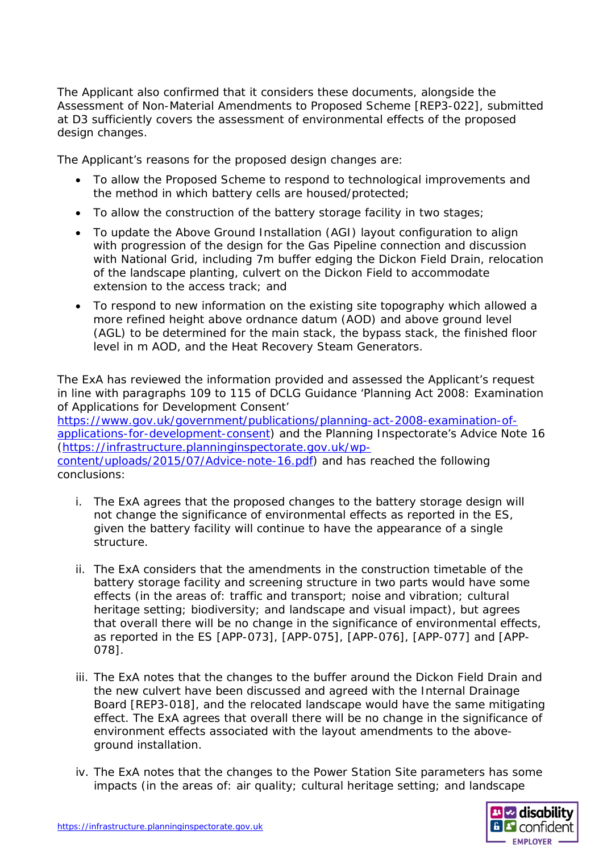The Applicant also confirmed that it considers these documents, alongside the Assessment of Non-Material Amendments to Proposed Scheme [REP3-022], submitted at D3 sufficiently covers the assessment of environmental effects of the proposed design changes.

The Applicant's reasons for the proposed design changes are:

- To allow the Proposed Scheme to respond to technological improvements and the method in which battery cells are housed/protected;
- To allow the construction of the battery storage facility in two stages;
- To update the Above Ground Installation (AGI) layout configuration to align with progression of the design for the Gas Pipeline connection and discussion with National Grid, including 7m buffer edging the Dickon Field Drain, relocation of the landscape planting, culvert on the Dickon Field to accommodate extension to the access track; and
- To respond to new information on the existing site topography which allowed a more refined height above ordnance datum (AOD) and above ground level (AGL) to be determined for the main stack, the bypass stack, the finished floor level in m AOD, and the Heat Recovery Steam Generators.

The ExA has reviewed the information provided and assessed the Applicant's request in line with paragraphs 109 to 115 of DCLG Guidance 'Planning Act 2008: Examination of Applications for Development Consent' [https://www.gov.uk/government/publications/planning-act-2008-examination-of](https://www.gov.uk/government/publications/planning-act-2008-examination-of-applications-for-development-consent)[applications-for-development-consent\)](https://www.gov.uk/government/publications/planning-act-2008-examination-of-applications-for-development-consent) and the Planning Inspectorate's Advice Note 16 [\(https://infrastructure.planninginspectorate.gov.uk/wp](https://infrastructure.planninginspectorate.gov.uk/wp-content/uploads/2015/07/Advice-note-16.pdf)[content/uploads/2015/07/Advice-note-16.pdf\)](https://infrastructure.planninginspectorate.gov.uk/wp-content/uploads/2015/07/Advice-note-16.pdf) and has reached the following conclusions:

- i. The ExA agrees that the proposed changes to the battery storage design will not change the significance of environmental effects as reported in the ES, given the battery facility will continue to have the appearance of a single structure.
- ii. The ExA considers that the amendments in the construction timetable of the battery storage facility and screening structure in two parts would have some effects (in the areas of: traffic and transport; noise and vibration; cultural heritage setting; biodiversity; and landscape and visual impact), but agrees that overall there will be no change in the significance of environmental effects, as reported in the ES [APP-073], [APP-075], [APP-076], [APP-077] and [APP-078].
- iii. The ExA notes that the changes to the buffer around the Dickon Field Drain and the new culvert have been discussed and agreed with the Internal Drainage Board [REP3-018], and the relocated landscape would have the same mitigating effect. The ExA agrees that overall there will be no change in the significance of environment effects associated with the layout amendments to the aboveground installation.
- iv. The ExA notes that the changes to the Power Station Site parameters has some impacts (in the areas of: air quality; cultural heritage setting; and landscape